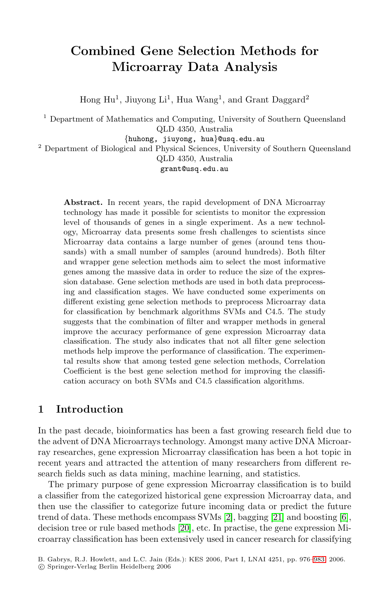# **Combined Gene Selection Methods for Microarray Data Analysis**

Hong Hu<sup>1</sup>, Jiuyong Li<sup>1</sup>, Hua Wang<sup>1</sup>, and Grant Daggard<sup>2</sup>

<sup>1</sup> Department of Mathematics and Computing, University of Southern Queensland QLD 4350, Australia {huhong, jiuyong, hua}@usq.edu.au

<sup>2</sup> Department of Biological and Physical Sciences, University of Southern Queensland QLD 4350, Australia

grant@usq.edu.au

**Abstract.** In recent years, the rapid development of DNA Microarray technology has made it possible for scientists to monitor the expression level of thousands of genes in a single experiment. As a new technology, Microarray data presents some fresh challenges to scientists since Microarray data contains a large number of genes (around tens thousands) with a small number of samples (around hundreds). Both filter and wrapper gene selection methods aim to select the most informative genes among the massive data in order to reduce the size of the expression database. Gene selection methods are used in both data preprocessing and classification stages. We have conducted some experiments on different existing gene selection methods to preprocess Microarray data for classification by benchmark algorithms SVMs and C4.5. The study suggests that the combination of filter and wrapper methods in general improve the accuracy performance of gene expression Microarray data classification. The study also indicates that not all filter gene selection methods help improve the performance of classification. The experimental results show that among tested gene selection methods, Correlation Coefficient is the best gene selection method for improving the classification accuracy on both SVMs and C4.5 classification algorithms.

## **1 Introduction**

In the past decade, bioinformatics has been a fast growing research field due to the advent of DNA Microarrays technology. Amongst many active DNA Microarray researches, gene expression Microarray classification has been a hot topic in recent years and attracted the attention of many researchers from different research fields such as data mining, machine learning, and statistics.

The primary purpose of gene expression Microarray classification is to build a classifier from the categorized historical gene expression Microarray data, and then use the classifier to categorize future incoming data or predict the future trend of data. These methods encompass SVMs [\[2\]](#page-6-0), bagging [\[21\]](#page-7-0) and boosting [\[6\]](#page-6-1), decision tree or rule based methods [\[20\]](#page-7-1), etc. In practise, the gene expression Microarray classification has been extensively used in cancer research for classifying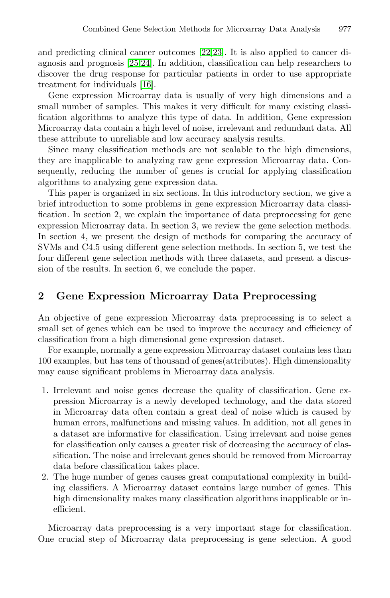and predicting clinical cancer outcomes [\[22,](#page-7-2)[23\]](#page-7-3). It is also applied to cancer diagnosis and prognosis [\[25](#page-7-4)[,24\]](#page-7-5). In addition, classification can help researchers to discover the drug response for particular patients in order to use appropriate treatment for individuals [\[16\]](#page-6-3).

Gene expression Microarray data is usually of very high dimensions and a small number of samples. This makes it very difficult for many existing classification algorithms to analyze this type of data. In addition, Gene expression Microarray data contain a high level of noise, irrelevant and redundant data. All these attribute to unreliable and low accuracy analysis results.

Since many classification methods are not scalable to the high dimensions, they are inapplicable to analyzing raw gene expression Microarray data. Consequently, reducing the number of genes is crucial for applying classification algorithms to analyzing gene expression data.

This paper is organized in six sections. In this introductory section, we give a brief introduction to some problems in gene expression Microarray data classification. In section 2, we explain the importance of data preprocessing for gene expression Microarray data. In section 3, we review the gene selection methods. In section 4, we present the design of methods for comparing the accuracy of SVMs and C4.5 using different gene selection methods. In section 5, we test the four different gene selection methods with three datasets, and present a discussion of the results. In section 6, we conclude the paper.

#### **2 Gene Expression Microarray Data Preprocessing**

An objective of gene expression Microarray data preprocessing is to select a small set of genes which can be used to improve the accuracy and efficiency of classification from a high dimensional gene expression dataset.

For example, normally a gene expression Microarray dataset contains less than 100 examples, but has tens of thousand of genes(attributes). High dimensionality may cause significant problems in Microarray data analysis.

- 1. Irrelevant and noise genes decrease the quality of classification. Gene expression Microarray is a newly developed technology, and the data stored in Microarray data often contain a great deal of noise which is caused by human errors, malfunctions and missing values. In addition, not all genes in a dataset are informative for classification. Using irrelevant and noise genes for classification only causes a greater risk of decreasing the accuracy of classification. The noise and irrelevant genes should be removed from Microarray data before classification takes place.
- 2. The huge number of genes causes great computational complexity in building classifiers. A Microarray dataset contains large number of genes. This high dimensionality makes many classification algorithms inapplicable or inefficient.

Microarray data preprocessing is a very important stage for classification. One crucial step of Microarray data preprocessing is gene selection. A good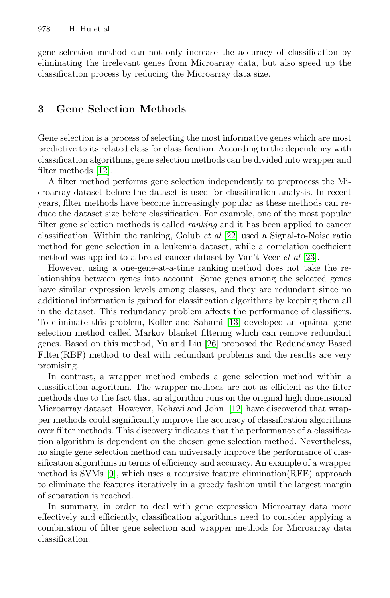gene selection method can not only increase the accuracy of classification by eliminating the irrelevant genes from Microarray data, but also speed up the classification process by reducing the Microarray data size.

## **3 Gene Selection Methods**

Gene selection is a process of selecting the most informative genes which are most predictive to its related class for classification. According to the dependency with classification algorithms, gene selection methods can be divided into wrapper and filter methods [\[12\]](#page-6-4).

A filter method performs gene selection independently to preprocess the Microarray dataset before the dataset is used for classification analysis. In recent years, filter methods have become increasingly popular as these methods can reduce the dataset size before classification. For example, one of the most popular filter gene selection methods is called ranking and it has been applied to cancer classification. Within the ranking, Golub  $et$  al  $[22]$  used a Signal-to-Noise ratio method for gene selection in a leukemia dataset, while a correlation coefficient method was applied to a breast cancer dataset by Van't Veer *et al* [\[23\]](#page-7-3).

However, using a one-gene-at-a-time ranking method does not take the relationships between genes into account. Some genes among the selected genes have similar expression levels among classes, and they are redundant since no additional information is gained for classification algorithms by keeping them all in the dataset. This redundancy problem affects the performance of classifiers. To eliminate this problem, Koller and Sahami [\[13\]](#page-6-5) developed an optimal gene selection method called Markov blanket filtering which can remove redundant genes. Based on this method, Yu and Liu [\[26\]](#page-7-6) proposed the Redundancy Based Filter(RBF) method to deal with redundant problems and the results are very promising.

In contrast, a wrapper method embeds a gene selection method within a classification algorithm. The wrapper methods are not as efficient as the filter methods due to the fact that an algorithm runs on the original high dimensional Microarray dataset. However, Kohavi and John [\[12\]](#page-6-4) have discovered that wrapper methods could significantly improve the accuracy of classification algorithms over filter methods. This discovery indicates that the performance of a classification algorithm is dependent on the chosen gene selection method. Nevertheless, no single gene selection method can universally improve the performance of classification algorithms in terms of efficiency and accuracy. An example of a wrapper method is SVMs  $[9]$ , which uses a recursive feature elimination(RFE) approach to eliminate the features iteratively in a greedy fashion until the largest margin of separation is reached.

In summary, in order to deal with gene expression Microarray data more effectively and efficiently, classification algorithms need to consider applying a combination of filter gene selection and wrapper methods for Microarray data classification.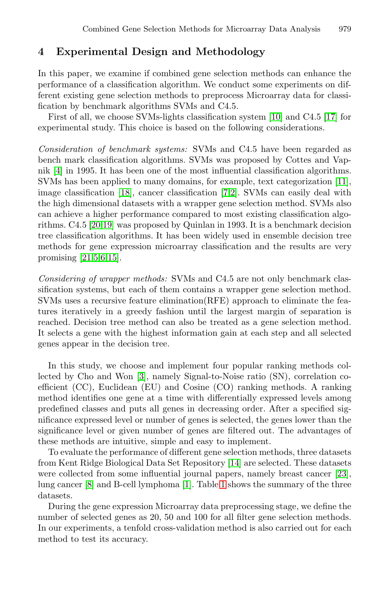#### **4 Experimental Design and Methodology**

In this paper, we examine if combined gene selection methods can enhance the performance of a classification algorithm. We conduct some experiments on different existing gene selection methods to preprocess Microarray data for classification by benchmark algorithms SVMs and C4.5.

First of all, we choose SVMs-lights classification system [\[10\]](#page-6-7) and C4.5 [\[17\]](#page-6-8) for experimental study. This choice is based on the following considerations.

Consideration of benchmark systems: SVMs and C4.5 have been regarded as bench mark classification algorithms. SVMs was proposed by Cottes and Vapnik [\[4\]](#page-6-9) in 1995. It has been one of the most influential classification algorithms. SVMs has been applied to many domains, for example, text categorization [\[11\]](#page-6-10), image classification [\[18\]](#page-6-11), cancer classification [\[7](#page-6-12)[,2\]](#page-6-0). SVMs can easily deal with the high dimensional datasets with a wrapper gene selection method. SVMs also can achieve a higher performance compared to most existing classification algorithms. C4.5 [\[20](#page-7-1)[,19\]](#page-7-7) was proposed by Quinlan in 1993. It is a benchmark decision tree classification algorithms. It has been widely used in ensemble decision tree methods for gene expression microarray classification and the results are very promising [\[21,](#page-7-0)[5](#page-6-13)[,6](#page-6-1)[,15\]](#page-6-14).

Considering of wrapper methods: SVMs and C4.5 are not only benchmark classification systems, but each of them contains a wrapper gene selection method.  $SVMs$  uses a recursive feature elimination $(RFE)$  approach to eliminate the features iteratively in a greedy fashion until the largest margin of separation is reached. Decision tree method can also be treated as a gene selection method. It selects a gene with the highest information gain at each step and all selected genes appear in the decision tree.

In this study, we choose and implement four popular ranking methods collected by Cho and Won [\[3\]](#page-6-15), namely Signal-to-Noise ratio (SN), correlation coefficient (CC), Euclidean (EU) and Cosine (CO) ranking methods. A ranking method identifies one gene at a time with differentially expressed levels among predefined classes and puts all genes in decreasing order. After a specified significance expressed level or number of genes is selected, the genes lower than the significance level or given number of genes are filtered out. The advantages of these methods are intuitive, simple and easy to implement.

To evaluate the performance of different gene selection methods, three datasets from Kent Ridge Biological Data Set Repository [\[14\]](#page-6-16) are selected. These datasets were collected from some influential journal papers, namely breast cancer [\[23\]](#page-7-3), lung cancer [\[8\]](#page-6-17) and B-cell lymphoma [\[1\]](#page-6-18). Table [1](#page-4-0) shows the summary of the three datasets.

During the gene expression Microarray data preprocessing stage, we define the number of selected genes as 20, 50 and 100 for all filter gene selection methods. In our experiments, a tenfold cross-validation method is also carried out for each method to test its accuracy.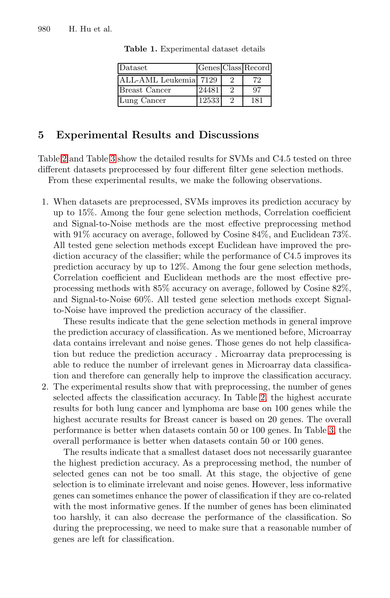<span id="page-4-0"></span>

| Dataset               |       | Genes Class Record |
|-----------------------|-------|--------------------|
| ALL-AML Leukemia 7129 |       |                    |
| Breast Cancer         | 24481 | 97                 |
| Lung Cancer           | 12533 | 181                |

**Table 1.** Experimental dataset details

### **5 Experimental Results and Discussions**

Table [2](#page-5-0) and Table [3](#page-5-1) show the detailed results for SVMs and C4.5 tested on three different datasets preprocessed by four different filter gene selection methods.

From these experimental results, we make the following observations.

1. When datasets are preprocessed, SVMs improves its prediction accuracy by up to 15%. Among the four gene selection methods, Correlation coefficient and Signal-to-Noise methods are the most effective preprocessing method with 91% accuracy on average, followed by Cosine 84%, and Euclidean 73%. All tested gene selection methods except Euclidean have improved the prediction accuracy of the classifier; while the performance of C4.5 improves its prediction accuracy by up to 12%. Among the four gene selection methods, Correlation coefficient and Euclidean methods are the most effective preprocessing methods with 85% accuracy on average, followed by Cosine 82%, and Signal-to-Noise 60%. All tested gene selection methods except Signalto-Noise have improved the prediction accuracy of the classifier.

These results indicate that the gene selection methods in general improve the prediction accuracy of classification. As we mentioned before, Microarray data contains irrelevant and noise genes. Those genes do not help classification but reduce the prediction accuracy . Microarray data preprocessing is able to reduce the number of irrelevant genes in Microarray data classification and therefore can generally help to improve the classification accuracy.

2. The experimental results show that with preprocessing, the number of genes selected affects the classification accuracy. In Table [2,](#page-5-0) the highest accurate results for both lung cancer and lymphoma are base on 100 genes while the highest accurate results for Breast cancer is based on 20 genes. The overall performance is better when datasets contain 50 or 100 genes. In Table [3,](#page-5-1) the overall performance is better when datasets contain 50 or 100 genes.

The results indicate that a smallest dataset does not necessarily guarantee the highest prediction accuracy. As a preprocessing method, the number of selected genes can not be too small. At this stage, the objective of gene selection is to eliminate irrelevant and noise genes. However, less informative genes can sometimes enhance the power of classification if they are co-related with the most informative genes. If the number of genes has been eliminated too harshly, it can also decrease the performance of the classification. So during the preprocessing, we need to make sure that a reasonable number of genes are left for classification.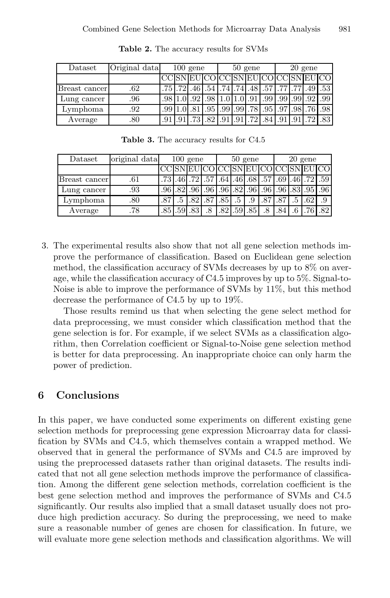| $\text{Dataset}$ | Original data | $100$ gene  |              |      | $50 \text{ gene}$ |  |  |                               | $20$ gene                                       |              |  |           |     |
|------------------|---------------|-------------|--------------|------|-------------------|--|--|-------------------------------|-------------------------------------------------|--------------|--|-----------|-----|
|                  |               |             |              |      |                   |  |  |                               | CC SN EU CO CC SN EU CO CC SN EU CO             |              |  |           |     |
| Breast cancer    | $.62\,$       | $.75$ $.72$ |              |      |                   |  |  |                               | .46 .54 .74 .74 .48 .57 .77 .77 .77             |              |  | $.49$ .53 |     |
| Lung cancer      | .96           |             |              |      |                   |  |  |                               | .98 1.0 .92 .98 1.0 1.0 .91 .99 .99 .99 .92 .99 |              |  |           |     |
| Lymphoma         | .92           |             | $.99\, 1.0 $ | .81  |                   |  |  |                               | .95. 98. 99. 99. 78. 95. 95. 97. 98. 95.        |              |  |           | .98 |
| Average          | .80           |             |              | .731 |                   |  |  | $.82$   $.91$   $.91$   $.72$ |                                                 | .84.91.91.72 |  |           | .83 |

<span id="page-5-0"></span>**Table 2.** The accuracy results for SVMs

| Dataset       | original data | $100$ gene |  |  | $50 \text{ gene}$ |  |  |  | 20 gene                                             |  |  |  |  |
|---------------|---------------|------------|--|--|-------------------|--|--|--|-----------------------------------------------------|--|--|--|--|
|               |               |            |  |  |                   |  |  |  | CC SN EU CO CC SN EU CO CC SN EU CO                 |  |  |  |  |
| Breast cancer | .61           |            |  |  |                   |  |  |  | 1.73 .46 .72 .57 .64 .46 .68 .57 .69 .46 .72 .59    |  |  |  |  |
| Lung cancer   | $.93\,$       |            |  |  |                   |  |  |  | .96 .82 .95 .96 .96 .96 .82 .96 .96 .96 .83 .95 .96 |  |  |  |  |

Lymphoma .80 .87 .5 .82 .87 .85 .5 .9 .87 .87 .5 .62 .9 Average .78 .85 .59 .83 .8 .82 .59 .85 .85 .84 .6 .76 .82

<span id="page-5-1"></span>**Table 3.** The accuracy results for C4.5

3. The experimental results also show that not all gene selection methods improve the performance of classification. Based on Euclidean gene selection method, the classification accuracy of SVMs decreases by up to 8% on average, while the classification accuracy of C4.5 improves by up to 5%. Signal-to-Noise is able to improve the performance of SVMs by 11%, but this method decrease the performance of C4.5 by up to 19%.

Those results remind us that when selecting the gene select method for data preprocessing, we must consider which classification method that the gene selection is for. For example, if we select SVMs as a classification algorithm, then Correlation coefficient or Signal-to-Noise gene selection method is better for data preprocessing. An inappropriate choice can only harm the power of prediction.

## **6 Conclusions**

In this paper, we have conducted some experiments on different existing gene selection methods for preprocessing gene expression Microarray data for classification by SVMs and C4.5, which themselves contain a wrapped method. We observed that in general the performance of SVMs and C4.5 are improved by using the preprocessed datasets rather than original datasets. The results indicated that not all gene selection methods improve the performance of classification. Among the different gene selection methods, correlation coefficient is the best gene selection method and improves the performance of SVMs and C4.5 significantly. Our results also implied that a small dataset usually does not produce high prediction accuracy. So during the preprocessing, we need to make sure a reasonable number of genes are chosen for classification. In future, we will evaluate more gene selection methods and classification algorithms. We will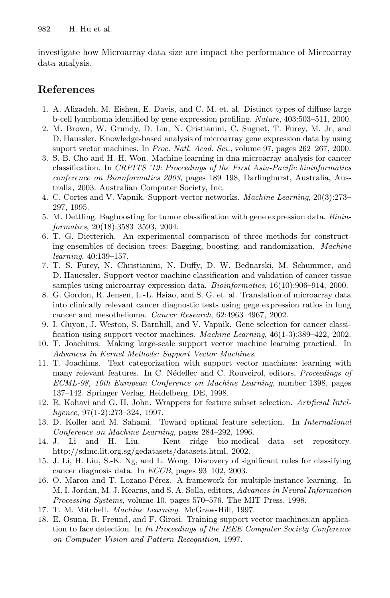investigate how Microarray data size are impact the performance of Microarray data analysis.

# <span id="page-6-18"></span><span id="page-6-2"></span>**References**

- 1. A. Alizadeh, M. Eishen, E. Davis, and C. M. et. al. Distinct types of diffuse large b-cell lymphoma identified by gene expression profiling. Nature, 403:503–511, 2000.
- <span id="page-6-0"></span>2. M. Brown, W. Grundy, D. Lin, N. Cristianini, C. Sugnet, T. Furey, M. Jr, and D. Haussler. Knowledge-based analysis of microarray gene expression data by using suport vector machines. In Proc. Natl. Acad. Sci., volume 97, pages 262–267, 2000.
- <span id="page-6-15"></span>3. S.-B. Cho and H.-H. Won. Machine learning in dna microarray analysis for cancer classification. In CRPITS '19: Proceedings of the First Asia-Pacific bioinformatics conference on Bioinformatics 2003, pages 189–198, Darlinghurst, Australia, Australia, 2003. Australian Computer Society, Inc.
- <span id="page-6-9"></span>4. C. Cortes and V. Vapnik. Support-vector networks. Machine Learning, 20(3):273– 297, 1995.
- <span id="page-6-13"></span>5. M. Dettling. Bagboosting for tumor classification with gene expression data. Bioinformatics, 20(18):3583–3593, 2004.
- <span id="page-6-1"></span>6. T. G. Dietterich. An experimental comparison of three methods for constructing ensembles of decision trees: Bagging, boosting, and randomization. Machine learning, 40:139–157.
- <span id="page-6-12"></span>7. T. S. Furey, N. Christianini, N. Duffy, D. W. Bednarski, M. Schummer, and D. Hauessler. Support vector machine classification and validation of cancer tissue samples using microarray expression data. Bioinformatics, 16(10):906–914, 2000.
- <span id="page-6-17"></span>8. G. Gordon, R. Jensen, L.-L. Hsiao, and S. G. et. al. Translation of microarray data into clinically relevant cancer diagnostic tests using gege expression ratios in lung cancer and mesothelioma. Cancer Research, 62:4963–4967, 2002.
- <span id="page-6-6"></span>9. I. Guyon, J. Weston, S. Barnhill, and V. Vapnik. Gene selection for cancer classification using support vector machines. Machine Learning, 46(1-3):389–422, 2002.
- <span id="page-6-7"></span>10. T. Joachims. Making large-scale support vector machine learning practical. In Advances in Kernel Methods: Support Vector Machines.
- <span id="page-6-10"></span>11. T. Joachims. Text categorization with support vector machines: learning with many relevant features. In C. Nédellec and C. Rouveirol, editors, Proceedings of ECML-98, 10th European Conference on Machine Learning, number 1398, pages 137–142. Springer Verlag, Heidelberg, DE, 1998.
- <span id="page-6-4"></span>12. R. Kohavi and G. H. John. Wrappers for feature subset selection. Artificial Intelligence, 97(1-2):273–324, 1997.
- <span id="page-6-5"></span>13. D. Koller and M. Sahami. Toward optimal feature selection. In International Conference on Machine Learning, pages 284–292, 1996.
- <span id="page-6-16"></span>14. J. Li and H. Liu. Kent ridge bio-medical data set repository. http://sdmc.lit.org.sg/gedatasets/datasets.html, 2002.
- <span id="page-6-14"></span>15. J. Li, H. Liu, S.-K. Ng, and L. Wong. Discovery of significant rules for classifying cancer diagnosis data. In ECCB, pages 93–102, 2003.
- <span id="page-6-3"></span>16. O. Maron and T. Lozano-Pérez. A framework for multiple-instance learning. In M. I. Jordan, M. J. Kearns, and S. A. Solla, editors, Advances in Neural Information Processing Systems, volume 10, pages 570–576. The MIT Press, 1998.
- <span id="page-6-11"></span><span id="page-6-8"></span>17. T. M. Mitchell. Machine Learning. McGraw-Hill, 1997.
- 18. E. Osuna, R. Freund, and F. Girosi. Training support vector machines:an application to face detection. In In Proceedings of the IEEE Computer Society Conference on Computer Vision and Pattern Recognition, 1997.